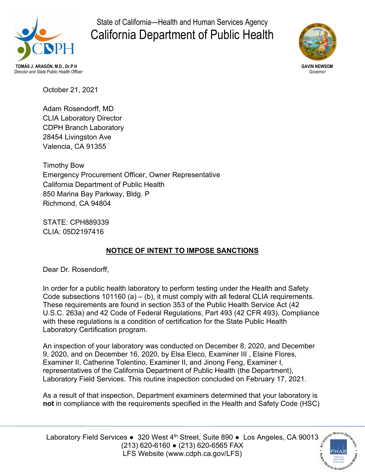

State of California—Health and Human Services Agency California Department of Public Health



*Director and State Public Health Officer Governor*

October 21, 2021

Adam Rosendorff, MD CLIA Laboratory Director CDPH Branch Laboratory 28454 Livingston Ave Valencia, CA 91355

Timothy Bow Emergency Procurement Officer, Owner Representative California Department of Public Health 850 Marina Bay Parkway, Bldg. P Richmond, CA 94804

STATE: CPH889339 CLIA: 05D2197416

# **NOTICE OF INTENT TO IMPOSE SANCTIONS**

Dear Dr. Rosendorff,

In order for a public health laboratory to perform testing under the Health and Safety Code subsections  $101160$  (a) – (b), it must comply with all federal CLIA requirements. These requirements are found in section 353 of the Public Health Service Act (42 U.S.C. 263a) and 42 Code of Federal Regulations, Part 493 (42 CFR 493). Compliance with these regulations is a condition of certification for the State Public Health Laboratory Certification program.

An inspection of your laboratory was conducted on December 8, 2020, and December 9, 2020, and on December 16, 2020, by Elsa Eleco, Examiner III , Elaine Flores, Examiner II, Catherine Tolentino, Examiner II, and Jinong Feng, Examiner I, representatives of the California Department of Public Health (the Department), Laboratory Field Services. This routine inspection concluded on February 17, 2021.

As a result of that inspection, Department examiners determined that your laboratory is **not** in compliance with the requirements specified in the Health and Safety Code (HSC)

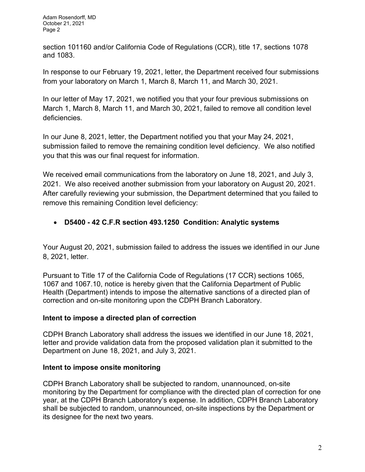section 101160 and/or California Code of Regulations (CCR), title 17, sections 1078 and 1083.

In response to our February 19, 2021, letter, the Department received four submissions from your laboratory on March 1, March 8, March 11, and March 30, 2021.

In our letter of May 17, 2021, we notified you that your four previous submissions on March 1, March 8, March 11, and March 30, 2021, failed to remove all condition level deficiencies.

In our June 8, 2021, letter, the Department notified you that your May 24, 2021, submission failed to remove the remaining condition level deficiency. We also notified you that this was our final request for information.

We received email communications from the laboratory on June 18, 2021, and July 3, 2021. We also received another submission from your laboratory on August 20, 2021. After carefully reviewing your submission, the Department determined that you failed to remove this remaining Condition level deficiency:

## • **D5400 - 42 C.F.R section 493.1250 Condition: Analytic systems**

Your August 20, 2021, submission failed to address the issues we identified in our June 8, 2021, letter.

Pursuant to Title 17 of the California Code of Regulations (17 CCR) sections 1065, 1067 and 1067.10, notice is hereby given that the California Department of Public Health (Department) intends to impose the alternative sanctions of a directed plan of correction and on-site monitoring upon the CDPH Branch Laboratory.

### **Intent to impose a directed plan of correction**

CDPH Branch Laboratory shall address the issues we identified in our June 18, 2021, letter and provide validation data from the proposed validation plan it submitted to the Department on June 18, 2021, and July 3, 2021.

### **Intent to impose onsite monitoring**

CDPH Branch Laboratory shall be subjected to random, unannounced, on-site monitoring by the Department for compliance with the directed plan of correction for one year, at the CDPH Branch Laboratory's expense. In addition, CDPH Branch Laboratory shall be subjected to random, unannounced, on-site inspections by the Department or its designee for the next two years.